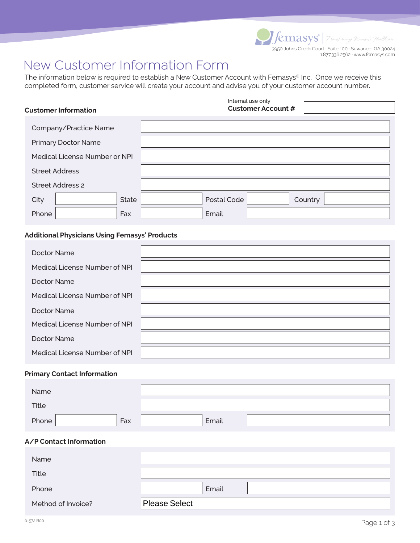3950 Johns Creek Court ∙ Suite 100 ∙ Suwanee, GA 30024 1.877.336.2562 ∙ www.femasys.com

# New Customer Information Form

The information below is required to establish a New Customer Account with Femasys® Inc. Once we receive this completed form, customer service will create your account and advise you of your customer account number.

|                               | <b>Customer Information</b> |              |             | Internal use only<br><b>Customer Account #</b> |         |
|-------------------------------|-----------------------------|--------------|-------------|------------------------------------------------|---------|
|                               |                             |              |             |                                                |         |
|                               | Company/Practice Name       |              |             |                                                |         |
|                               | <b>Primary Doctor Name</b>  |              |             |                                                |         |
| Medical License Number or NPI |                             |              |             |                                                |         |
| <b>Street Address</b>         |                             |              |             |                                                |         |
| <b>Street Address 2</b>       |                             |              |             |                                                |         |
| City                          |                             | <b>State</b> | Postal Code |                                                | Country |
| Phone                         |                             | Fax          | Email       |                                                |         |

## **Additional Physicians Using Femasys' Products**

| Doctor Name                   |  |
|-------------------------------|--|
| Medical License Number of NPI |  |
| Doctor Name                   |  |
| Medical License Number of NPI |  |
| Doctor Name                   |  |
| Medical License Number of NPI |  |
| Doctor Name                   |  |
| Medical License Number of NPI |  |

### **Primary Contact Information**

| Name  |     |       |  |
|-------|-----|-------|--|
| Title |     |       |  |
| Phone | Fax | Email |  |

## **A/P Contact Information**

| <b>Name</b>        |               |
|--------------------|---------------|
| Title              |               |
| Phone              | Email         |
| Method of Invoice? | Please Select |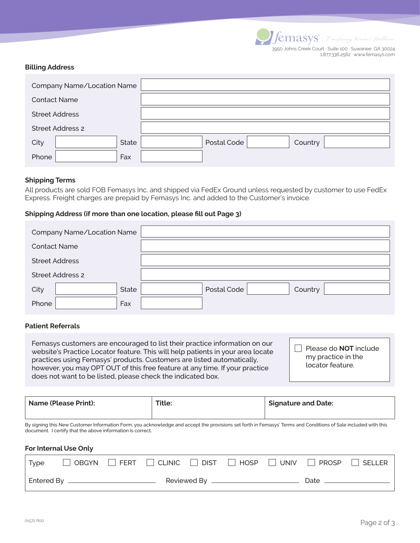| <i>v</i> emasys             |
|-----------------------------|
| 2050 Johne Crook Court - Si |

L

3950 Johns Creek Court ∙ Suite 100 ∙ Suwanee, GA 30024 1.877.336.2562 ∙ www.femasys.com

#### **Billing Address**

| Company Name/Location Name |                        |
|----------------------------|------------------------|
| <b>Contact Name</b>        |                        |
| <b>Street Address</b>      |                        |
| <b>Street Address 2</b>    |                        |
| State<br>City              | Postal Code<br>Country |
| Phone<br>Fax               |                        |

#### **Shipping Terms**

All products are sold FOB Femasys Inc. and shipped via FedEx Ground unless requested by customer to use FedEx Express. Freight charges are prepaid by Femasys Inc. and added to the Customer's invoice.

#### **Shipping Address (if more than one location, please fill out Page 3)**

| Company Name/Location Name |                        |
|----------------------------|------------------------|
| <b>Contact Name</b>        |                        |
| <b>Street Address</b>      |                        |
| <b>Street Address 2</b>    |                        |
| State<br>City              | Postal Code<br>Country |
| Phone<br>Fax               |                        |

## **Patient Referrals**

Femasys customers are encouraged to list their practice information on our website's Practice Locator feature. This will help patients in your area locate practices using Femasys' products. Customers are listed automatically, however, you may OPT OUT of this free feature at any time. If your practice does not want to be listed, please check the indicated box.

Please do **NOT** include my practice in the locator feature.

| <b>Name (Please Print):</b> | <b>Title</b> | <b>Signature and Date:</b> |
|-----------------------------|--------------|----------------------------|
|                             |              |                            |

By signing this New Customer Information Form, you acknowledge and accept the provisions set forth in Femasys' Terms and Conditions of Sale included with this document. I certify that the above information is correct.

#### **For Internal Use Only**

| Type              |  |             |  |      | OBGYN   FERT   CLINIC   DIST   HOSP   UNIV   PROSP   SELLER |
|-------------------|--|-------------|--|------|-------------------------------------------------------------|
| <b>Entered By</b> |  | Reviewed By |  | Date |                                                             |